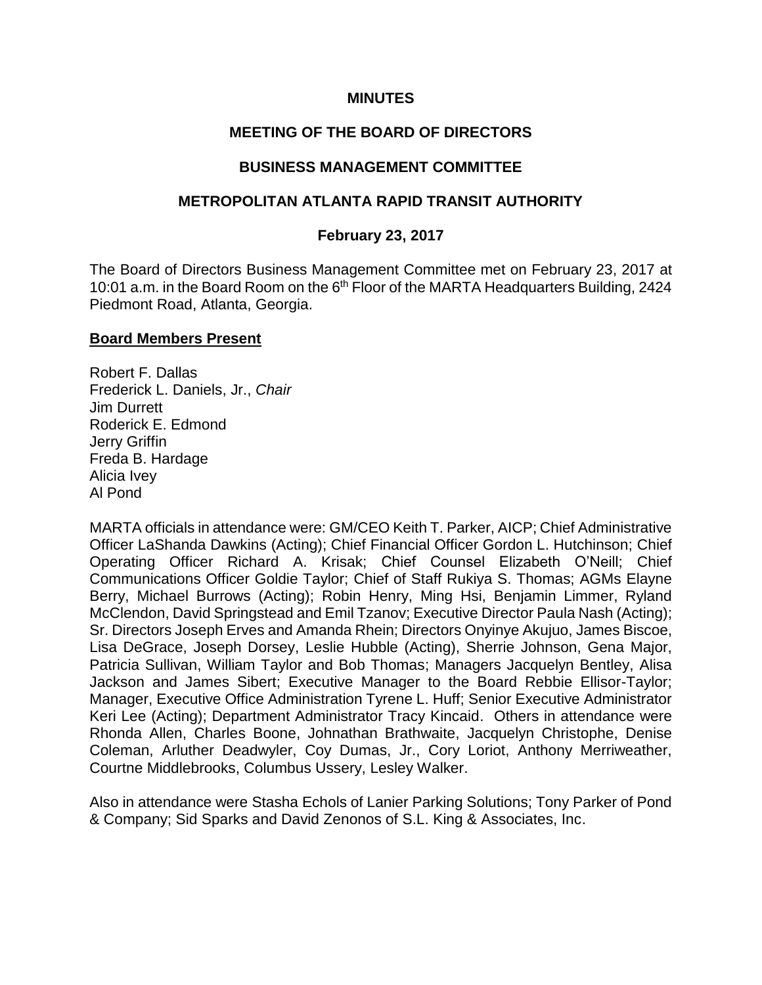#### **MINUTES**

#### **MEETING OF THE BOARD OF DIRECTORS**

#### **BUSINESS MANAGEMENT COMMITTEE**

#### **METROPOLITAN ATLANTA RAPID TRANSIT AUTHORITY**

#### **February 23, 2017**

The Board of Directors Business Management Committee met on February 23, 2017 at 10:01 a.m. in the Board Room on the 6<sup>th</sup> Floor of the MARTA Headquarters Building, 2424 Piedmont Road, Atlanta, Georgia.

#### **Board Members Present**

Robert F. Dallas Frederick L. Daniels, Jr., *Chair* Jim Durrett Roderick E. Edmond Jerry Griffin Freda B. Hardage Alicia Ivey Al Pond

MARTA officials in attendance were: GM/CEO Keith T. Parker, AICP; Chief Administrative Officer LaShanda Dawkins (Acting); Chief Financial Officer Gordon L. Hutchinson; Chief Operating Officer Richard A. Krisak; Chief Counsel Elizabeth O'Neill; Chief Communications Officer Goldie Taylor; Chief of Staff Rukiya S. Thomas; AGMs Elayne Berry, Michael Burrows (Acting); Robin Henry, Ming Hsi, Benjamin Limmer, Ryland McClendon, David Springstead and Emil Tzanov; Executive Director Paula Nash (Acting); Sr. Directors Joseph Erves and Amanda Rhein; Directors Onyinye Akujuo, James Biscoe, Lisa DeGrace, Joseph Dorsey, Leslie Hubble (Acting), Sherrie Johnson, Gena Major, Patricia Sullivan, William Taylor and Bob Thomas; Managers Jacquelyn Bentley, Alisa Jackson and James Sibert; Executive Manager to the Board Rebbie Ellisor-Taylor; Manager, Executive Office Administration Tyrene L. Huff; Senior Executive Administrator Keri Lee (Acting); Department Administrator Tracy Kincaid. Others in attendance were Rhonda Allen, Charles Boone, Johnathan Brathwaite, Jacquelyn Christophe, Denise Coleman, Arluther Deadwyler, Coy Dumas, Jr., Cory Loriot, Anthony Merriweather, Courtne Middlebrooks, Columbus Ussery, Lesley Walker.

Also in attendance were Stasha Echols of Lanier Parking Solutions; Tony Parker of Pond & Company; Sid Sparks and David Zenonos of S.L. King & Associates, Inc.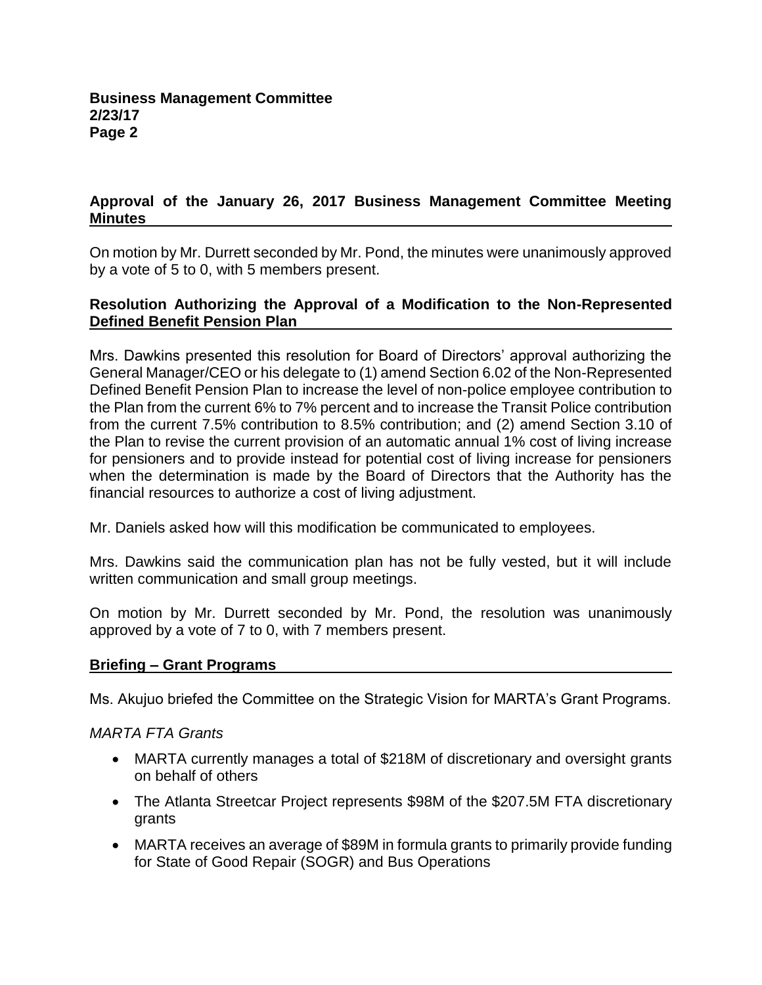# **Approval of the January 26, 2017 Business Management Committee Meeting Minutes**

On motion by Mr. Durrett seconded by Mr. Pond, the minutes were unanimously approved by a vote of 5 to 0, with 5 members present.

#### **Resolution Authorizing the Approval of a Modification to the Non-Represented Defined Benefit Pension Plan**

Mrs. Dawkins presented this resolution for Board of Directors' approval authorizing the General Manager/CEO or his delegate to (1) amend Section 6.02 of the Non-Represented Defined Benefit Pension Plan to increase the level of non-police employee contribution to the Plan from the current 6% to 7% percent and to increase the Transit Police contribution from the current 7.5% contribution to 8.5% contribution; and (2) amend Section 3.10 of the Plan to revise the current provision of an automatic annual 1% cost of living increase for pensioners and to provide instead for potential cost of living increase for pensioners when the determination is made by the Board of Directors that the Authority has the financial resources to authorize a cost of living adjustment.

Mr. Daniels asked how will this modification be communicated to employees.

Mrs. Dawkins said the communication plan has not be fully vested, but it will include written communication and small group meetings.

On motion by Mr. Durrett seconded by Mr. Pond, the resolution was unanimously approved by a vote of 7 to 0, with 7 members present.

# **Briefing – Grant Programs**

Ms. Akujuo briefed the Committee on the Strategic Vision for MARTA's Grant Programs.

# *MARTA FTA Grants*

- MARTA currently manages a total of \$218M of discretionary and oversight grants on behalf of others
- The Atlanta Streetcar Project represents \$98M of the \$207.5M FTA discretionary grants
- MARTA receives an average of \$89M in formula grants to primarily provide funding for State of Good Repair (SOGR) and Bus Operations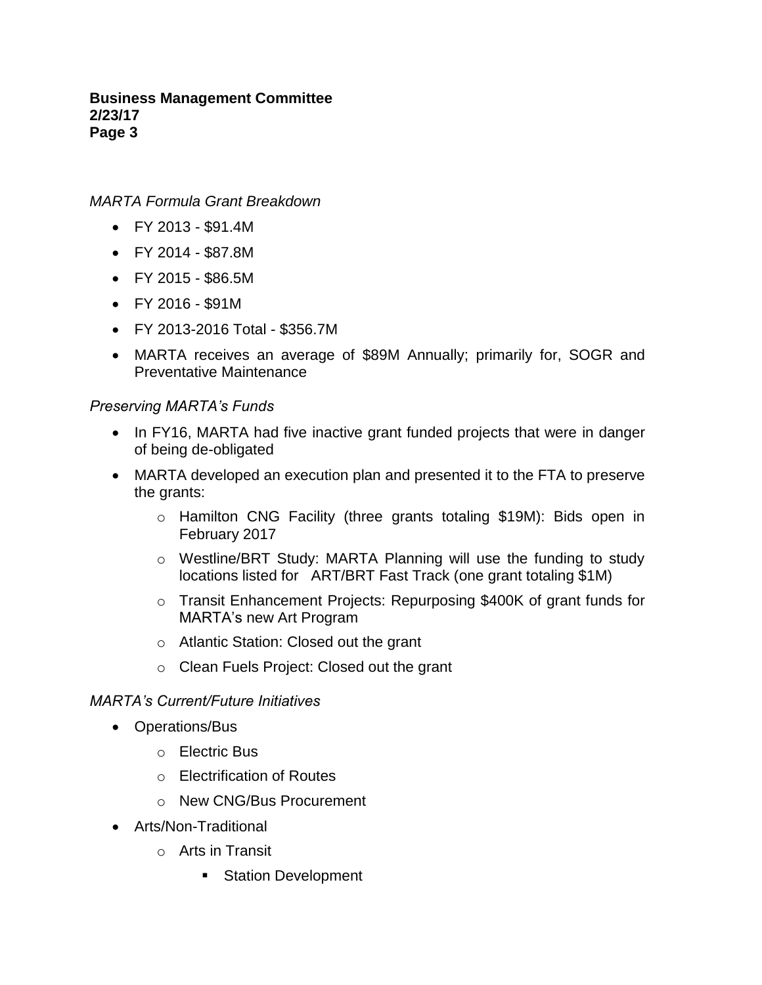*MARTA Formula Grant Breakdown*

- FY 2013 \$91.4M
- FY 2014 \$87.8M
- FY 2015 \$86.5M
- FY 2016 \$91M
- FY 2013-2016 Total \$356.7M
- MARTA receives an average of \$89M Annually; primarily for, SOGR and Preventative Maintenance

# *Preserving MARTA's Funds*

- In FY16, MARTA had five inactive grant funded projects that were in danger of being de-obligated
- MARTA developed an execution plan and presented it to the FTA to preserve the grants:
	- o Hamilton CNG Facility (three grants totaling \$19M): Bids open in February 2017
	- o Westline/BRT Study: MARTA Planning will use the funding to study locations listed for ART/BRT Fast Track (one grant totaling \$1M)
	- o Transit Enhancement Projects: Repurposing \$400K of grant funds for MARTA's new Art Program
	- o Atlantic Station: Closed out the grant
	- o Clean Fuels Project: Closed out the grant

# *MARTA's Current/Future Initiatives*

- Operations/Bus
	- o Electric Bus
	- o Electrification of Routes
	- o New CNG/Bus Procurement
- Arts/Non-Traditional
	- o Arts in Transit
		- Station Development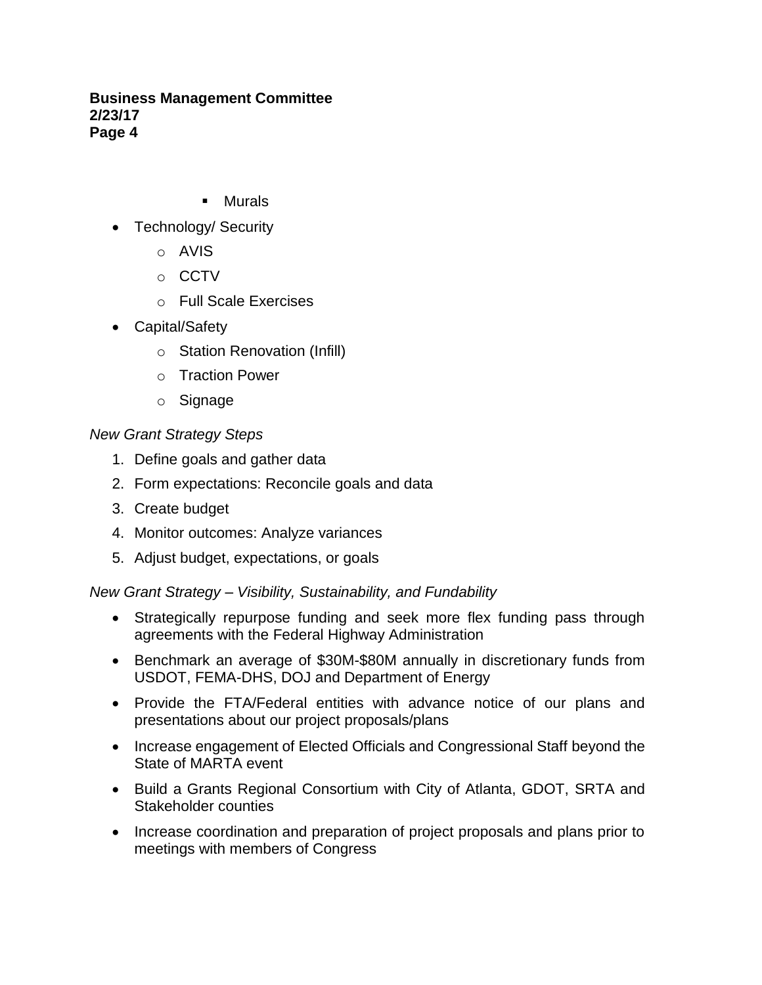- Murals
- Technology/ Security
	- o AVIS
	- o CCTV
	- o Full Scale Exercises
- Capital/Safety
	- o Station Renovation (Infill)
	- o Traction Power
	- o Signage

# *New Grant Strategy Steps*

- 1. Define goals and gather data
- 2. Form expectations: Reconcile goals and data
- 3. Create budget
- 4. Monitor outcomes: Analyze variances
- 5. Adjust budget, expectations, or goals

# *New Grant Strategy – Visibility, Sustainability, and Fundability*

- Strategically repurpose funding and seek more flex funding pass through agreements with the Federal Highway Administration
- Benchmark an average of \$30M-\$80M annually in discretionary funds from USDOT, FEMA-DHS, DOJ and Department of Energy
- Provide the FTA/Federal entities with advance notice of our plans and presentations about our project proposals/plans
- Increase engagement of Elected Officials and Congressional Staff beyond the State of MARTA event
- Build a Grants Regional Consortium with City of Atlanta, GDOT, SRTA and Stakeholder counties
- Increase coordination and preparation of project proposals and plans prior to meetings with members of Congress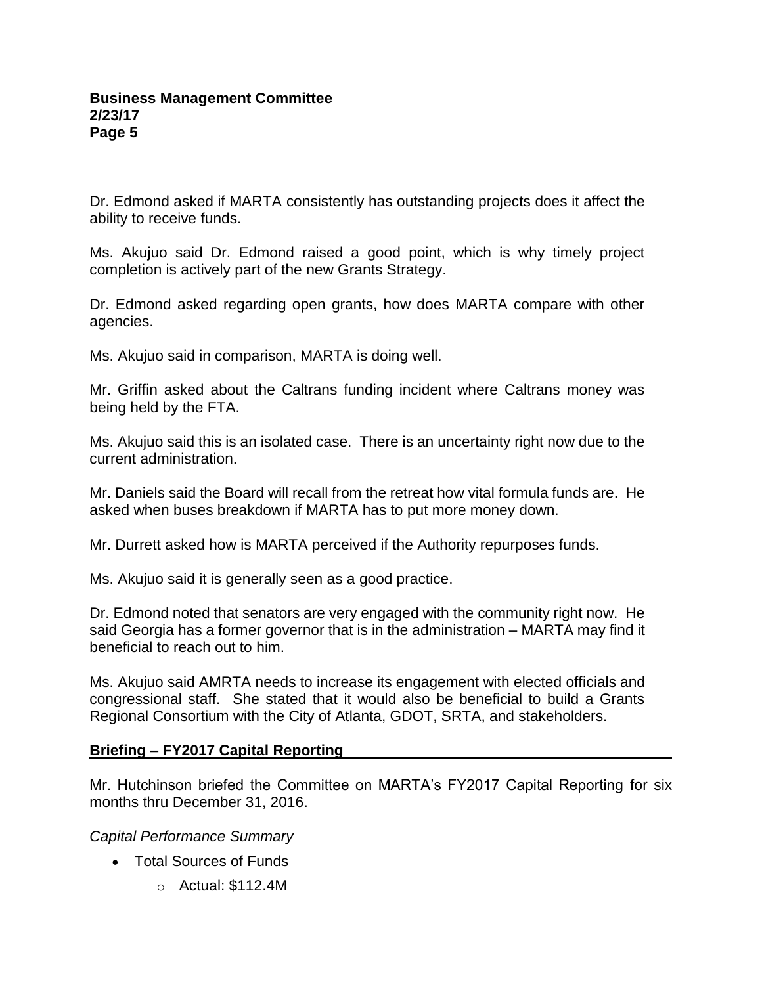Dr. Edmond asked if MARTA consistently has outstanding projects does it affect the ability to receive funds.

Ms. Akujuo said Dr. Edmond raised a good point, which is why timely project completion is actively part of the new Grants Strategy.

Dr. Edmond asked regarding open grants, how does MARTA compare with other agencies.

Ms. Akujuo said in comparison, MARTA is doing well.

Mr. Griffin asked about the Caltrans funding incident where Caltrans money was being held by the FTA.

Ms. Akujuo said this is an isolated case. There is an uncertainty right now due to the current administration.

Mr. Daniels said the Board will recall from the retreat how vital formula funds are. He asked when buses breakdown if MARTA has to put more money down.

Mr. Durrett asked how is MARTA perceived if the Authority repurposes funds.

Ms. Akujuo said it is generally seen as a good practice.

Dr. Edmond noted that senators are very engaged with the community right now. He said Georgia has a former governor that is in the administration – MARTA may find it beneficial to reach out to him.

Ms. Akujuo said AMRTA needs to increase its engagement with elected officials and congressional staff. She stated that it would also be beneficial to build a Grants Regional Consortium with the City of Atlanta, GDOT, SRTA, and stakeholders.

# **Briefing – FY2017 Capital Reporting**

Mr. Hutchinson briefed the Committee on MARTA's FY2017 Capital Reporting for six months thru December 31, 2016.

*Capital Performance Summary* 

- Total Sources of Funds
	- $\circ$  Actual: \$112.4M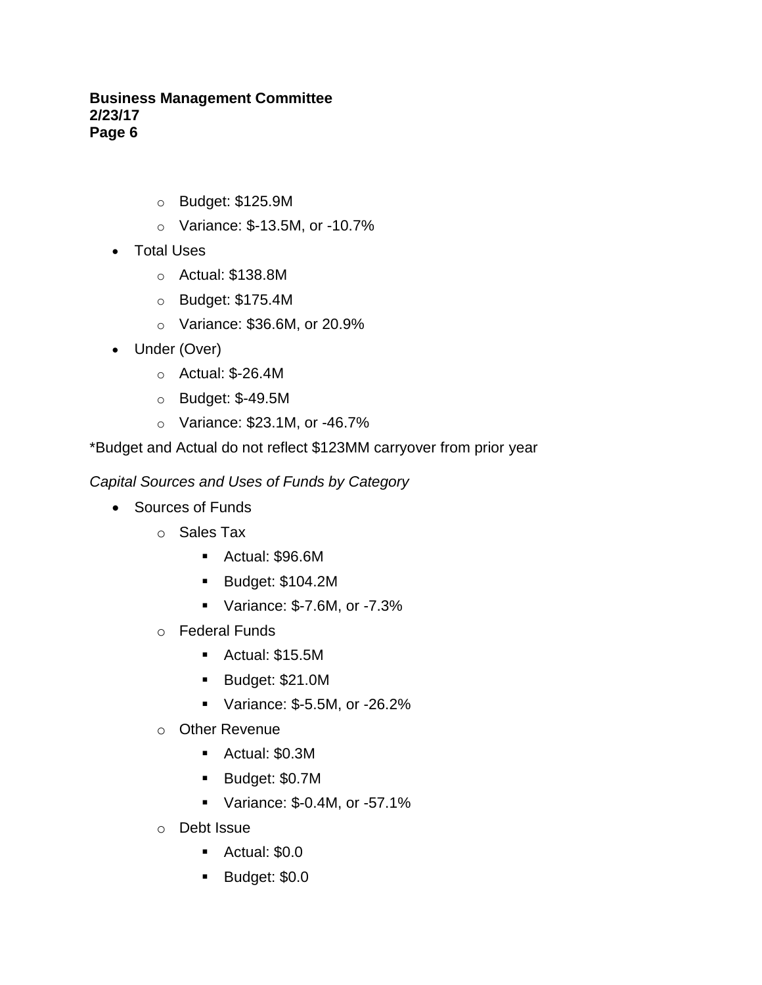- o Budget: \$125.9M
- o Variance: \$-13.5M, or -10.7%
- Total Uses
	- o Actual: \$138.8M
	- o Budget: \$175.4M
	- o Variance: \$36.6M, or 20.9%
- Under (Over)
	- o Actual: \$-26.4M
	- o Budget: \$-49.5M
	- o Variance: \$23.1M, or -46.7%

\*Budget and Actual do not reflect \$123MM carryover from prior year

*Capital Sources and Uses of Funds by Category* 

- Sources of Funds
	- o Sales Tax
		- Actual: \$96.6M
		- Budget: \$104.2M
		- Variance: \$-7.6M, or -7.3%
	- o Federal Funds
		- Actual: \$15.5M
		- Budget: \$21.0M
		- Variance: \$-5.5M, or -26.2%
	- o Other Revenue
		- Actual: \$0.3M
		- Budget: \$0.7M
		- Variance: \$-0.4M, or -57.1%
	- o Debt Issue
		- Actual: \$0.0
		- Budget: \$0.0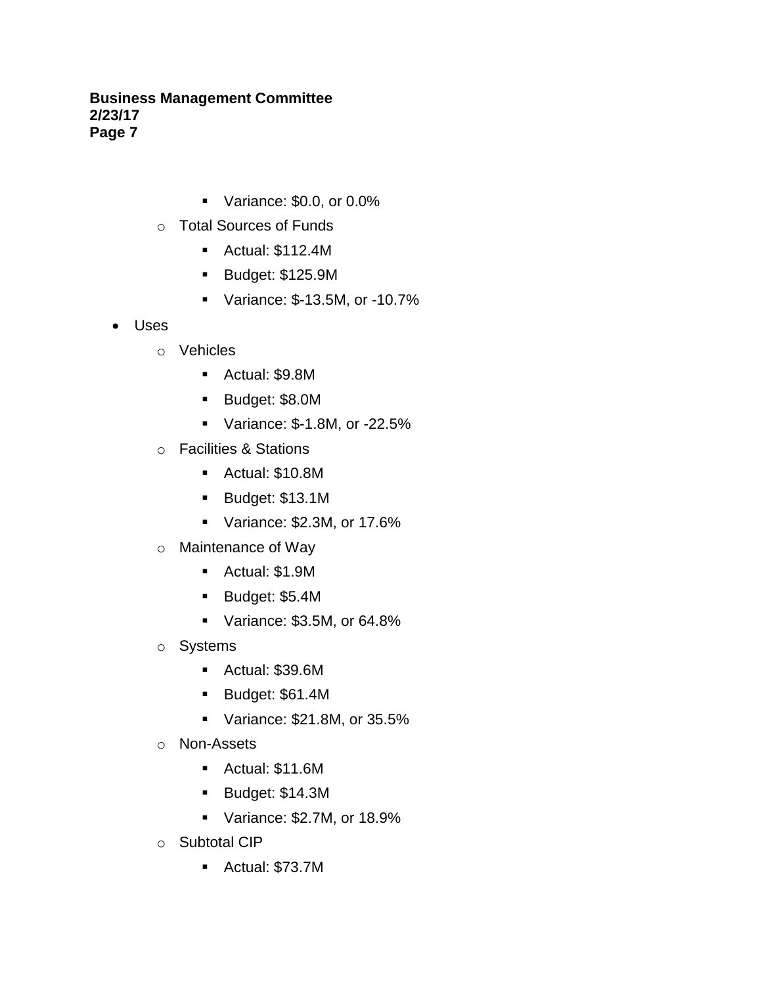- Variance: \$0.0, or 0.0%
- o Total Sources of Funds
	- Actual: \$112.4M
	- Budget: \$125.9M
	- Variance: \$-13.5M, or -10.7%
- Uses
	- o Vehicles
		- Actual: \$9.8M
		- Budget: \$8.0M
		- Variance: \$-1.8M, or -22.5%
	- o Facilities & Stations
		- Actual: \$10.8M
		- Budget: \$13.1M
		- Variance: \$2.3M, or 17.6%
	- o Maintenance of Way
		- Actual: \$1.9M
		- Budget: \$5.4M
		- Variance: \$3.5M, or 64.8%
	- o Systems
		- Actual: \$39.6M
		- Budget: \$61.4M
		- Variance: \$21.8M, or 35.5%
	- o Non-Assets
		- Actual: \$11.6M
		- Budget: \$14.3M
		- Variance: \$2.7M, or 18.9%
	- o Subtotal CIP
		- Actual: \$73.7M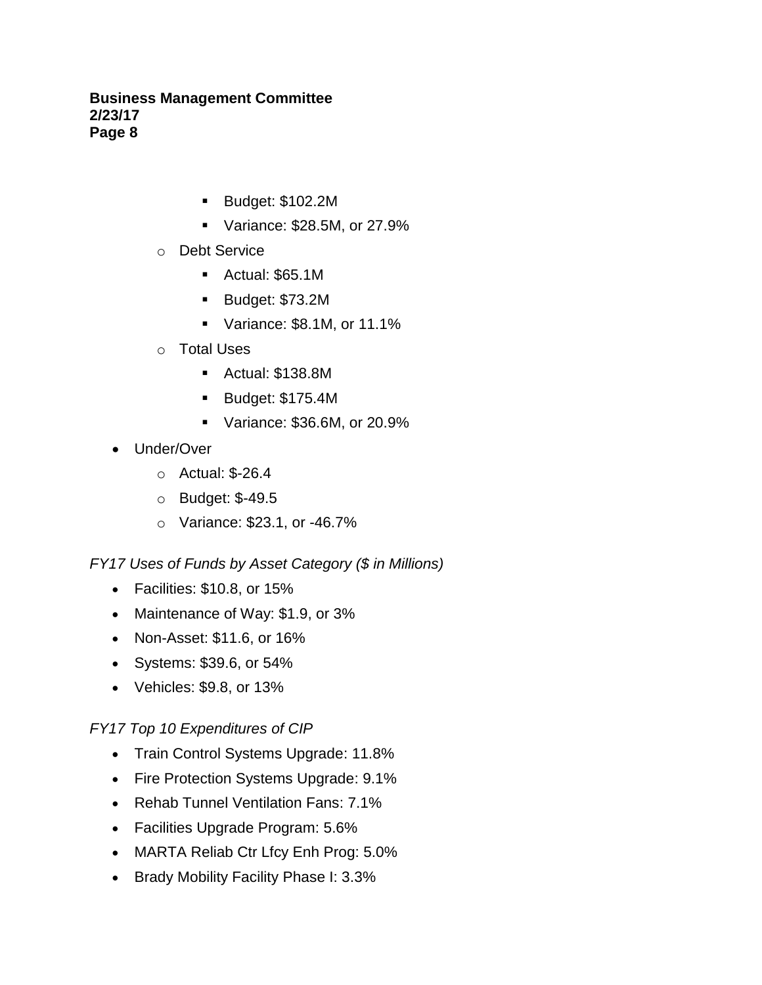- Budget: \$102.2M
- Variance: \$28.5M, or 27.9%
- o Debt Service
	- Actual: \$65.1M
	- Budget: \$73.2M
	- Variance: \$8.1M, or 11.1%
- o Total Uses
	- Actual: \$138.8M
	- Budget: \$175.4M
	- Variance: \$36.6M, or 20.9%
- Under/Over
	- o Actual: \$-26.4
	- o Budget: \$-49.5
	- o Variance: \$23.1, or -46.7%

# *FY17 Uses of Funds by Asset Category (\$ in Millions)*

- Facilities: \$10.8, or 15%
- Maintenance of Way: \$1.9, or 3%
- Non-Asset: \$11.6, or 16%
- Systems: \$39.6, or 54%
- Vehicles: \$9.8, or 13%

# *FY17 Top 10 Expenditures of CIP*

- Train Control Systems Upgrade: 11.8%
- Fire Protection Systems Upgrade: 9.1%
- Rehab Tunnel Ventilation Fans: 7.1%
- Facilities Upgrade Program: 5.6%
- MARTA Reliab Ctr Lfcy Enh Prog: 5.0%
- Brady Mobility Facility Phase I: 3.3%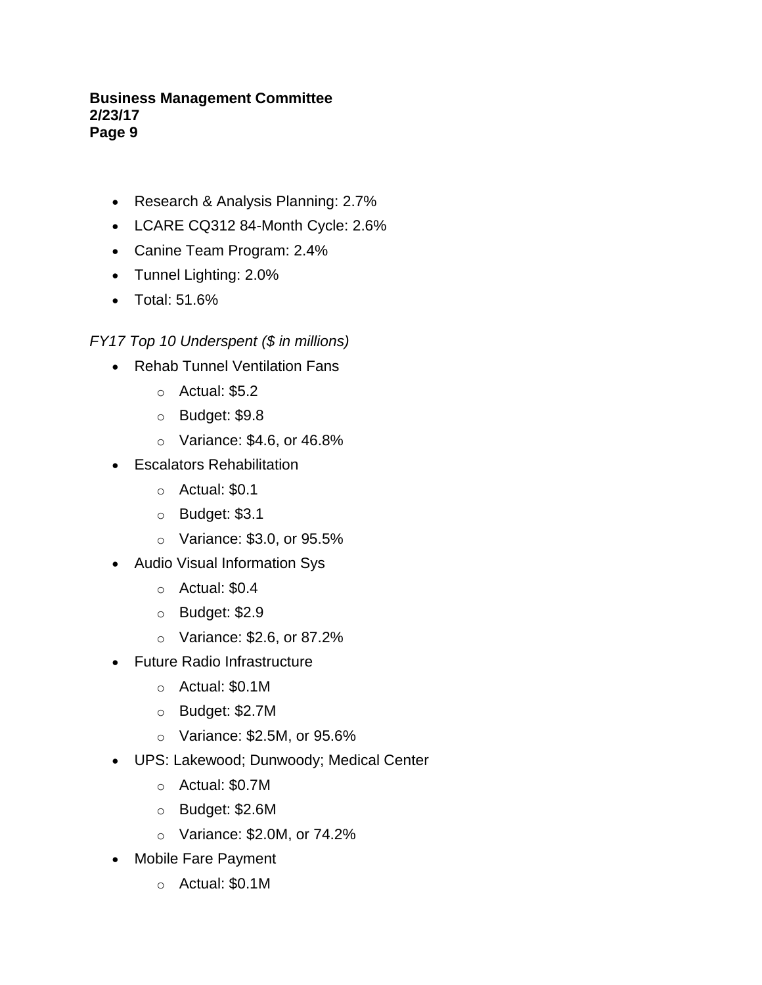- Research & Analysis Planning: 2.7%
- LCARE CQ312 84-Month Cycle: 2.6%
- Canine Team Program: 2.4%
- Tunnel Lighting: 2.0%
- Total: 51.6%

*FY17 Top 10 Underspent (\$ in millions)*

- Rehab Tunnel Ventilation Fans
	- $\circ$  Actual: \$5.2
	- o Budget: \$9.8
	- o Variance: \$4.6, or 46.8%
- Escalators Rehabilitation
	- $\circ$  Actual: \$0.1
	- o Budget: \$3.1
	- o Variance: \$3.0, or 95.5%
- Audio Visual Information Sys
	- $\circ$  Actual: \$0.4
	- o Budget: \$2.9
	- o Variance: \$2.6, or 87.2%
- Future Radio Infrastructure
	- o Actual: \$0.1M
	- o Budget: \$2.7M
	- o Variance: \$2.5M, or 95.6%
- UPS: Lakewood; Dunwoody; Medical Center
	- o Actual: \$0.7M
	- o Budget: \$2.6M
	- o Variance: \$2.0M, or 74.2%
- Mobile Fare Payment
	- o Actual: \$0.1M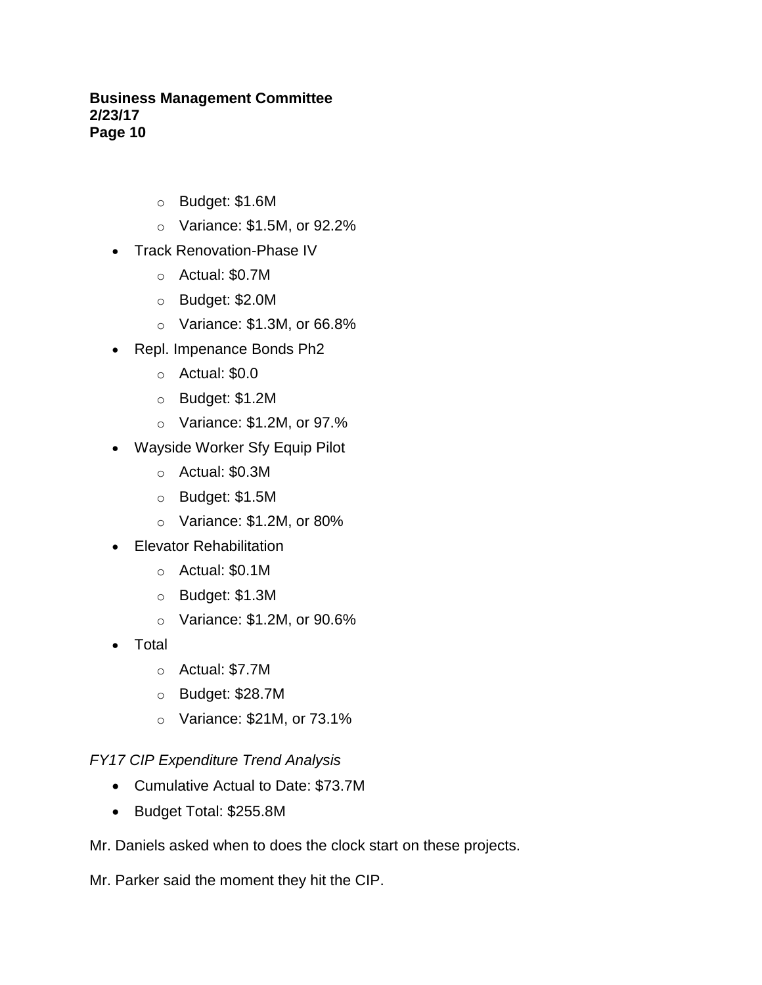- o Budget: \$1.6M
- o Variance: \$1.5M, or 92.2%
- Track Renovation-Phase IV
	- o Actual: \$0.7M
	- o Budget: \$2.0M
	- o Variance: \$1.3M, or 66.8%
- Repl. Impenance Bonds Ph2
	- o Actual: \$0.0
	- o Budget: \$1.2M
	- o Variance: \$1.2M, or 97.%
- Wayside Worker Sfy Equip Pilot
	- o Actual: \$0.3M
	- o Budget: \$1.5M
	- $\circ$  Variance: \$1.2M, or 80%
- Elevator Rehabilitation
	- o Actual: \$0.1M
	- o Budget: \$1.3M
	- o Variance: \$1.2M, or 90.6%
- Total
	- o Actual: \$7.7M
	- o Budget: \$28.7M
	- o Variance: \$21M, or 73.1%

# *FY17 CIP Expenditure Trend Analysis*

- Cumulative Actual to Date: \$73.7M
- Budget Total: \$255.8M
- Mr. Daniels asked when to does the clock start on these projects.

Mr. Parker said the moment they hit the CIP.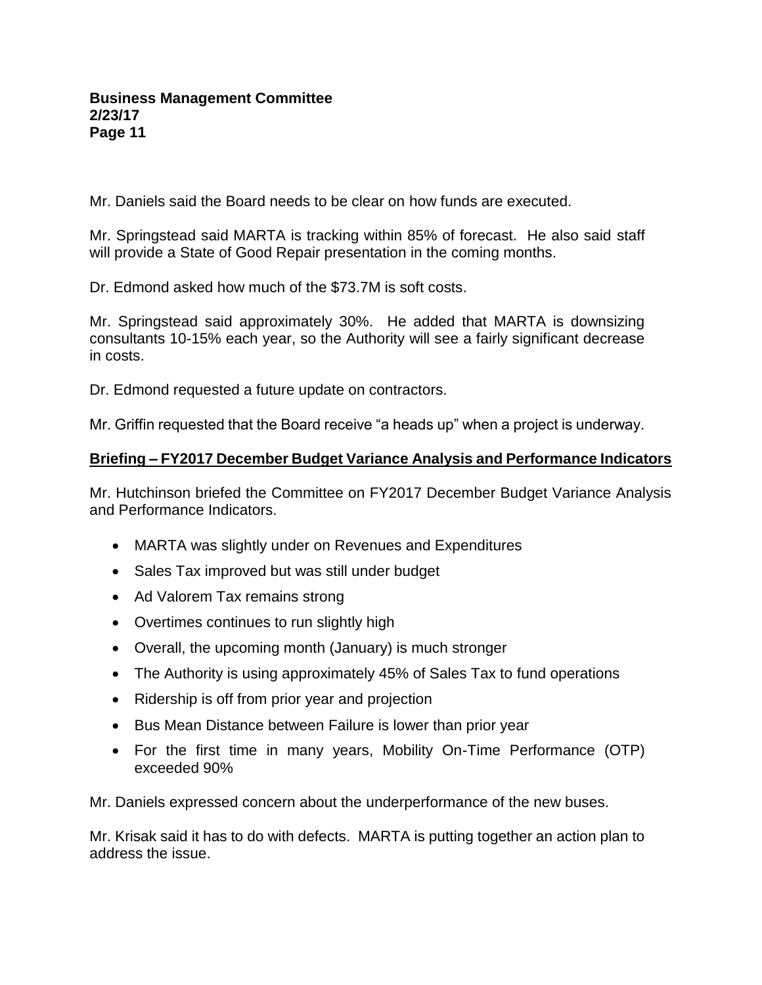Mr. Daniels said the Board needs to be clear on how funds are executed.

Mr. Springstead said MARTA is tracking within 85% of forecast. He also said staff will provide a State of Good Repair presentation in the coming months.

Dr. Edmond asked how much of the \$73.7M is soft costs.

Mr. Springstead said approximately 30%. He added that MARTA is downsizing consultants 10-15% each year, so the Authority will see a fairly significant decrease in costs.

Dr. Edmond requested a future update on contractors.

Mr. Griffin requested that the Board receive "a heads up" when a project is underway.

#### **Briefing – FY2017 December Budget Variance Analysis and Performance Indicators**

Mr. Hutchinson briefed the Committee on FY2017 December Budget Variance Analysis and Performance Indicators.

- MARTA was slightly under on Revenues and Expenditures
- Sales Tax improved but was still under budget
- Ad Valorem Tax remains strong
- Overtimes continues to run slightly high
- Overall, the upcoming month (January) is much stronger
- The Authority is using approximately 45% of Sales Tax to fund operations
- Ridership is off from prior year and projection
- Bus Mean Distance between Failure is lower than prior year
- For the first time in many years, Mobility On-Time Performance (OTP) exceeded 90%

Mr. Daniels expressed concern about the underperformance of the new buses.

Mr. Krisak said it has to do with defects. MARTA is putting together an action plan to address the issue.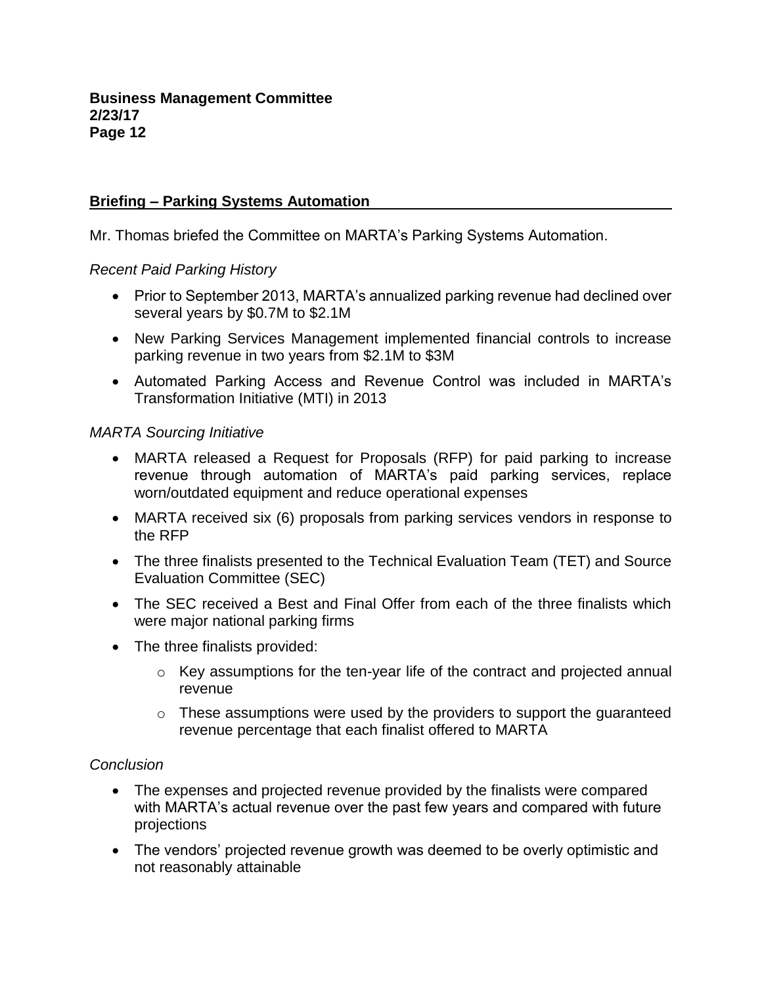# **Briefing – Parking Systems Automation**

Mr. Thomas briefed the Committee on MARTA's Parking Systems Automation.

# *Recent Paid Parking History*

- Prior to September 2013, MARTA's annualized parking revenue had declined over several years by \$0.7M to \$2.1M
- New Parking Services Management implemented financial controls to increase parking revenue in two years from \$2.1M to \$3M
- Automated Parking Access and Revenue Control was included in MARTA's Transformation Initiative (MTI) in 2013

# *MARTA Sourcing Initiative*

- MARTA released a Request for Proposals (RFP) for paid parking to increase revenue through automation of MARTA's paid parking services, replace worn/outdated equipment and reduce operational expenses
- MARTA received six (6) proposals from parking services vendors in response to the RFP
- The three finalists presented to the Technical Evaluation Team (TET) and Source Evaluation Committee (SEC)
- The SEC received a Best and Final Offer from each of the three finalists which were major national parking firms
- The three finalists provided:
	- o Key assumptions for the ten-year life of the contract and projected annual revenue
	- $\circ$  These assumptions were used by the providers to support the quaranteed revenue percentage that each finalist offered to MARTA

# *Conclusion*

- The expenses and projected revenue provided by the finalists were compared with MARTA's actual revenue over the past few years and compared with future projections
- The vendors' projected revenue growth was deemed to be overly optimistic and not reasonably attainable